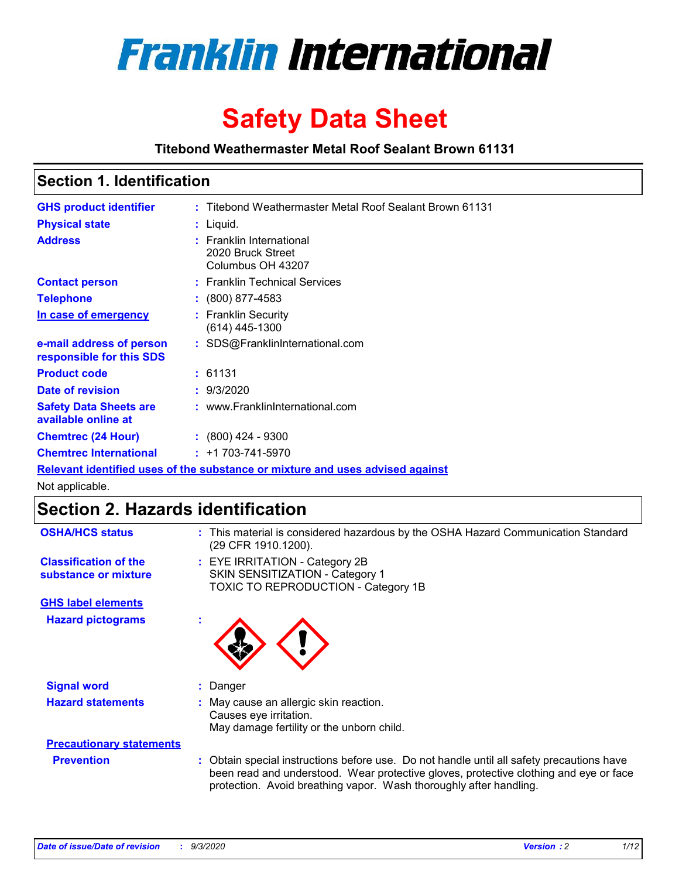

# **Safety Data Sheet**

**Titebond Weathermaster Metal Roof Sealant Brown 61131**

### **Section 1. Identification**

| <b>GHS product identifier</b>                                                 |  | : Titebond Weathermaster Metal Roof Sealant Brown 61131            |  |  |
|-------------------------------------------------------------------------------|--|--------------------------------------------------------------------|--|--|
| <b>Physical state</b>                                                         |  | : Liquid.                                                          |  |  |
| <b>Address</b>                                                                |  | : Franklin International<br>2020 Bruck Street<br>Columbus OH 43207 |  |  |
| <b>Contact person</b>                                                         |  | : Franklin Technical Services                                      |  |  |
| <b>Telephone</b>                                                              |  | $\colon$ (800) 877-4583                                            |  |  |
| In case of emergency                                                          |  | : Franklin Security<br>$(614)$ 445-1300                            |  |  |
| e-mail address of person<br>responsible for this SDS                          |  | : SDS@FranklinInternational.com                                    |  |  |
| <b>Product code</b>                                                           |  | : 61131                                                            |  |  |
| Date of revision                                                              |  | : 9/3/2020                                                         |  |  |
| <b>Safety Data Sheets are</b><br>available online at                          |  | : www.FranklinInternational.com                                    |  |  |
| <b>Chemtrec (24 Hour)</b>                                                     |  | $: (800)$ 424 - 9300                                               |  |  |
| <b>Chemtrec International</b>                                                 |  | $: +1703 - 741 - 5970$                                             |  |  |
| Relevant identified uses of the substance or mixture and uses advised against |  |                                                                    |  |  |

Not applicable.

# **Section 2. Hazards identification**

| <b>OSHA/HCS status</b>                               |    | : This material is considered hazardous by the OSHA Hazard Communication Standard<br>(29 CFR 1910.1200).                                                                                                                                                 |
|------------------------------------------------------|----|----------------------------------------------------------------------------------------------------------------------------------------------------------------------------------------------------------------------------------------------------------|
| <b>Classification of the</b><br>substance or mixture |    | : EYE IRRITATION - Category 2B<br>SKIN SENSITIZATION - Category 1<br>TOXIC TO REPRODUCTION - Category 1B                                                                                                                                                 |
| <b>GHS label elements</b>                            |    |                                                                                                                                                                                                                                                          |
| <b>Hazard pictograms</b>                             | ×. |                                                                                                                                                                                                                                                          |
| <b>Signal word</b>                                   | ÷. | Danger                                                                                                                                                                                                                                                   |
| <b>Hazard statements</b>                             |    | May cause an allergic skin reaction.<br>Causes eye irritation.<br>May damage fertility or the unborn child.                                                                                                                                              |
| <b>Precautionary statements</b>                      |    |                                                                                                                                                                                                                                                          |
| <b>Prevention</b>                                    |    | : Obtain special instructions before use. Do not handle until all safety precautions have<br>been read and understood. Wear protective gloves, protective clothing and eye or face<br>protection. Avoid breathing vapor. Wash thoroughly after handling. |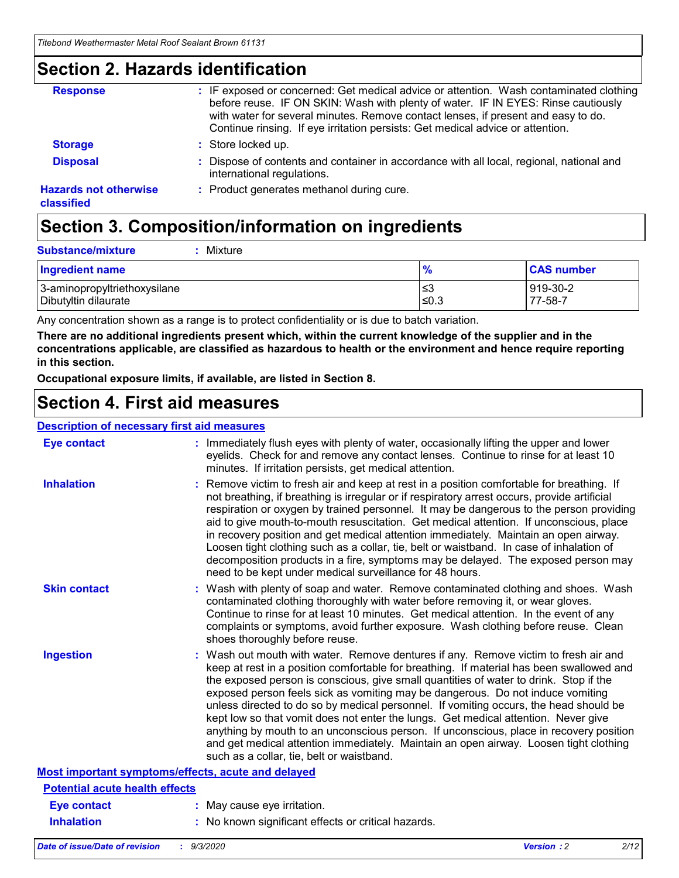### **Section 2. Hazards identification**

| <b>Response</b>                            | : IF exposed or concerned: Get medical advice or attention. Wash contaminated clothing<br>before reuse. IF ON SKIN: Wash with plenty of water. IF IN EYES: Rinse cautiously<br>with water for several minutes. Remove contact lenses, if present and easy to do.<br>Continue rinsing. If eye irritation persists: Get medical advice or attention. |
|--------------------------------------------|----------------------------------------------------------------------------------------------------------------------------------------------------------------------------------------------------------------------------------------------------------------------------------------------------------------------------------------------------|
| <b>Storage</b>                             | : Store locked up.                                                                                                                                                                                                                                                                                                                                 |
| <b>Disposal</b>                            | : Dispose of contents and container in accordance with all local, regional, national and<br>international regulations.                                                                                                                                                                                                                             |
| <b>Hazards not otherwise</b><br>classified | : Product generates methanol during cure.                                                                                                                                                                                                                                                                                                          |

# **Section 3. Composition/information on ingredients**

| <b>Substance/mixture</b> | Mixture |
|--------------------------|---------|
|                          |         |

| <b>Ingredient name</b>       | $\frac{9}{6}$ | <b>CAS number</b> |
|------------------------------|---------------|-------------------|
| 3-aminopropyltriethoxysilane | ≤3            | 919-30-2          |
| Dibutyltin dilaurate         | ∣≤0.3         | 77-58-7           |

Any concentration shown as a range is to protect confidentiality or is due to batch variation.

**There are no additional ingredients present which, within the current knowledge of the supplier and in the concentrations applicable, are classified as hazardous to health or the environment and hence require reporting in this section.**

**Occupational exposure limits, if available, are listed in Section 8.**

### **Section 4. First aid measures**

| <b>Description of necessary first aid measures</b> |                                                                                                                                                                                                                                                                                                                                                                                                                                                                                                                                                                                                                                                                                                                                                                           |
|----------------------------------------------------|---------------------------------------------------------------------------------------------------------------------------------------------------------------------------------------------------------------------------------------------------------------------------------------------------------------------------------------------------------------------------------------------------------------------------------------------------------------------------------------------------------------------------------------------------------------------------------------------------------------------------------------------------------------------------------------------------------------------------------------------------------------------------|
| <b>Eye contact</b>                                 | : Immediately flush eyes with plenty of water, occasionally lifting the upper and lower<br>eyelids. Check for and remove any contact lenses. Continue to rinse for at least 10<br>minutes. If irritation persists, get medical attention.                                                                                                                                                                                                                                                                                                                                                                                                                                                                                                                                 |
| <b>Inhalation</b>                                  | : Remove victim to fresh air and keep at rest in a position comfortable for breathing. If<br>not breathing, if breathing is irregular or if respiratory arrest occurs, provide artificial<br>respiration or oxygen by trained personnel. It may be dangerous to the person providing<br>aid to give mouth-to-mouth resuscitation. Get medical attention. If unconscious, place<br>in recovery position and get medical attention immediately. Maintain an open airway.<br>Loosen tight clothing such as a collar, tie, belt or waistband. In case of inhalation of<br>decomposition products in a fire, symptoms may be delayed. The exposed person may<br>need to be kept under medical surveillance for 48 hours.                                                       |
| <b>Skin contact</b>                                | : Wash with plenty of soap and water. Remove contaminated clothing and shoes. Wash<br>contaminated clothing thoroughly with water before removing it, or wear gloves.<br>Continue to rinse for at least 10 minutes. Get medical attention. In the event of any<br>complaints or symptoms, avoid further exposure. Wash clothing before reuse. Clean<br>shoes thoroughly before reuse.                                                                                                                                                                                                                                                                                                                                                                                     |
| <b>Ingestion</b>                                   | : Wash out mouth with water. Remove dentures if any. Remove victim to fresh air and<br>keep at rest in a position comfortable for breathing. If material has been swallowed and<br>the exposed person is conscious, give small quantities of water to drink. Stop if the<br>exposed person feels sick as vomiting may be dangerous. Do not induce vomiting<br>unless directed to do so by medical personnel. If vomiting occurs, the head should be<br>kept low so that vomit does not enter the lungs. Get medical attention. Never give<br>anything by mouth to an unconscious person. If unconscious, place in recovery position<br>and get medical attention immediately. Maintain an open airway. Loosen tight clothing<br>such as a collar, tie, belt or waistband. |
| Most important symptoms/effects, acute and delayed |                                                                                                                                                                                                                                                                                                                                                                                                                                                                                                                                                                                                                                                                                                                                                                           |
| <b>Potential acute health effects</b>              |                                                                                                                                                                                                                                                                                                                                                                                                                                                                                                                                                                                                                                                                                                                                                                           |
| Eye contact                                        | : May cause eye irritation.                                                                                                                                                                                                                                                                                                                                                                                                                                                                                                                                                                                                                                                                                                                                               |
| <b>Inhalation</b>                                  | : No known significant effects or critical hazards.                                                                                                                                                                                                                                                                                                                                                                                                                                                                                                                                                                                                                                                                                                                       |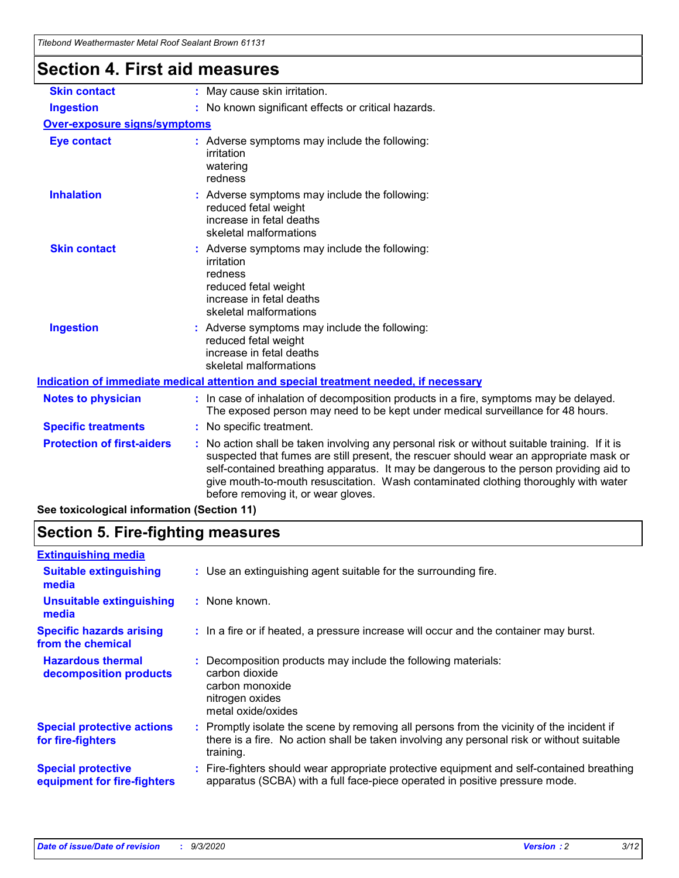| l itebond Weathermaster Metal Roof Sealant Brown 61131                               |                                                                                                                                                                                                                                                                                                                                                                                                                 |  |  |
|--------------------------------------------------------------------------------------|-----------------------------------------------------------------------------------------------------------------------------------------------------------------------------------------------------------------------------------------------------------------------------------------------------------------------------------------------------------------------------------------------------------------|--|--|
| <b>Section 4. First aid measures</b>                                                 |                                                                                                                                                                                                                                                                                                                                                                                                                 |  |  |
| <b>Skin contact</b>                                                                  | : May cause skin irritation.                                                                                                                                                                                                                                                                                                                                                                                    |  |  |
| <b>Ingestion</b>                                                                     | : No known significant effects or critical hazards.                                                                                                                                                                                                                                                                                                                                                             |  |  |
| <b>Over-exposure signs/symptoms</b>                                                  |                                                                                                                                                                                                                                                                                                                                                                                                                 |  |  |
| <b>Eye contact</b>                                                                   | : Adverse symptoms may include the following:<br>irritation<br>watering<br>redness                                                                                                                                                                                                                                                                                                                              |  |  |
| <b>Inhalation</b>                                                                    | : Adverse symptoms may include the following:<br>reduced fetal weight<br>increase in fetal deaths<br>skeletal malformations                                                                                                                                                                                                                                                                                     |  |  |
| <b>Skin contact</b>                                                                  | Adverse symptoms may include the following:<br>irritation<br>redness<br>reduced fetal weight<br>increase in fetal deaths<br>skeletal malformations                                                                                                                                                                                                                                                              |  |  |
| <b>Ingestion</b>                                                                     | : Adverse symptoms may include the following:<br>reduced fetal weight<br>increase in fetal deaths<br>skeletal malformations                                                                                                                                                                                                                                                                                     |  |  |
| Indication of immediate medical attention and special treatment needed, if necessary |                                                                                                                                                                                                                                                                                                                                                                                                                 |  |  |
| <b>Notes to physician</b>                                                            | : In case of inhalation of decomposition products in a fire, symptoms may be delayed.<br>The exposed person may need to be kept under medical surveillance for 48 hours.                                                                                                                                                                                                                                        |  |  |
| <b>Specific treatments</b>                                                           | : No specific treatment.                                                                                                                                                                                                                                                                                                                                                                                        |  |  |
| <b>Protection of first-aiders</b>                                                    | : No action shall be taken involving any personal risk or without suitable training. If it is<br>suspected that fumes are still present, the rescuer should wear an appropriate mask or<br>self-contained breathing apparatus. It may be dangerous to the person providing aid to<br>give mouth-to-mouth resuscitation. Wash contaminated clothing thoroughly with water<br>before removing it, or wear gloves. |  |  |

**See toxicological information (Section 11)**

### **Section 5. Fire-fighting measures**

| <b>Extinguishing media</b>                               |                                                                                                                                                                                                     |
|----------------------------------------------------------|-----------------------------------------------------------------------------------------------------------------------------------------------------------------------------------------------------|
| <b>Suitable extinguishing</b><br>media                   | : Use an extinguishing agent suitable for the surrounding fire.                                                                                                                                     |
| <b>Unsuitable extinguishing</b><br>media                 | : None known.                                                                                                                                                                                       |
| <b>Specific hazards arising</b><br>from the chemical     | : In a fire or if heated, a pressure increase will occur and the container may burst.                                                                                                               |
| <b>Hazardous thermal</b><br>decomposition products       | : Decomposition products may include the following materials:<br>carbon dioxide<br>carbon monoxide<br>nitrogen oxides<br>metal oxide/oxides                                                         |
| <b>Special protective actions</b><br>for fire-fighters   | : Promptly isolate the scene by removing all persons from the vicinity of the incident if<br>there is a fire. No action shall be taken involving any personal risk or without suitable<br>training. |
| <b>Special protective</b><br>equipment for fire-fighters | Fire-fighters should wear appropriate protective equipment and self-contained breathing<br>apparatus (SCBA) with a full face-piece operated in positive pressure mode.                              |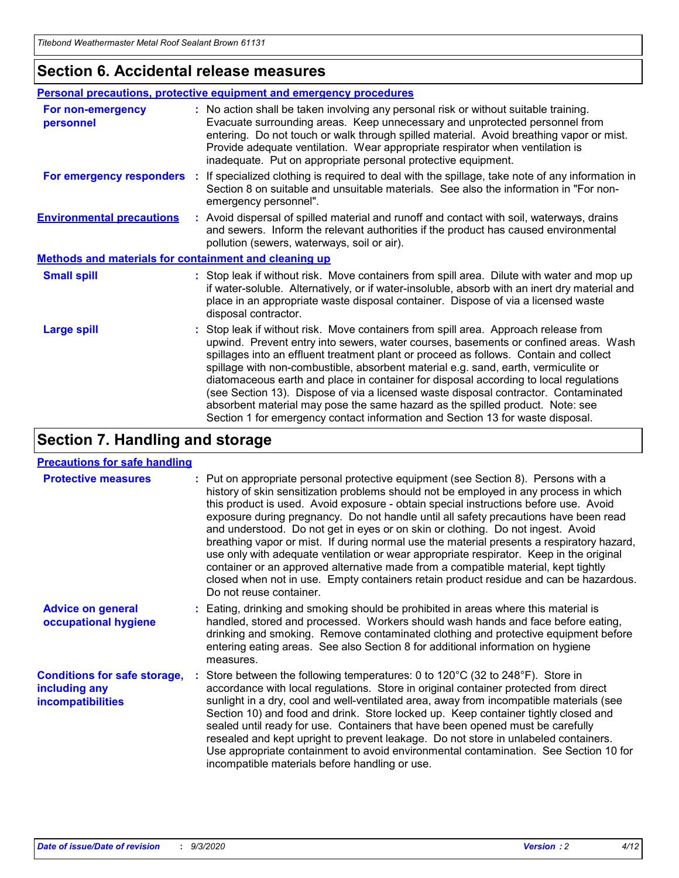### **Section 6. Accidental release measures**

|                                                              | Personal precautions, protective equipment and emergency procedures                                                                                                                                                                                                                                                                                                                                                                                                                                                                                                                                                                                                                                          |  |  |  |
|--------------------------------------------------------------|--------------------------------------------------------------------------------------------------------------------------------------------------------------------------------------------------------------------------------------------------------------------------------------------------------------------------------------------------------------------------------------------------------------------------------------------------------------------------------------------------------------------------------------------------------------------------------------------------------------------------------------------------------------------------------------------------------------|--|--|--|
| For non-emergency<br>personnel                               | : No action shall be taken involving any personal risk or without suitable training.<br>Evacuate surrounding areas. Keep unnecessary and unprotected personnel from<br>entering. Do not touch or walk through spilled material. Avoid breathing vapor or mist.<br>Provide adequate ventilation. Wear appropriate respirator when ventilation is<br>inadequate. Put on appropriate personal protective equipment.                                                                                                                                                                                                                                                                                             |  |  |  |
| For emergency responders                                     | : If specialized clothing is required to deal with the spillage, take note of any information in<br>Section 8 on suitable and unsuitable materials. See also the information in "For non-<br>emergency personnel".                                                                                                                                                                                                                                                                                                                                                                                                                                                                                           |  |  |  |
| <b>Environmental precautions</b>                             | : Avoid dispersal of spilled material and runoff and contact with soil, waterways, drains<br>and sewers. Inform the relevant authorities if the product has caused environmental<br>pollution (sewers, waterways, soil or air).                                                                                                                                                                                                                                                                                                                                                                                                                                                                              |  |  |  |
| <b>Methods and materials for containment and cleaning up</b> |                                                                                                                                                                                                                                                                                                                                                                                                                                                                                                                                                                                                                                                                                                              |  |  |  |
| <b>Small spill</b>                                           | : Stop leak if without risk. Move containers from spill area. Dilute with water and mop up<br>if water-soluble. Alternatively, or if water-insoluble, absorb with an inert dry material and<br>place in an appropriate waste disposal container. Dispose of via a licensed waste<br>disposal contractor.                                                                                                                                                                                                                                                                                                                                                                                                     |  |  |  |
| <b>Large spill</b>                                           | : Stop leak if without risk. Move containers from spill area. Approach release from<br>upwind. Prevent entry into sewers, water courses, basements or confined areas. Wash<br>spillages into an effluent treatment plant or proceed as follows. Contain and collect<br>spillage with non-combustible, absorbent material e.g. sand, earth, vermiculite or<br>diatomaceous earth and place in container for disposal according to local regulations<br>(see Section 13). Dispose of via a licensed waste disposal contractor. Contaminated<br>absorbent material may pose the same hazard as the spilled product. Note: see<br>Section 1 for emergency contact information and Section 13 for waste disposal. |  |  |  |

### **Section 7. Handling and storage**

#### **Precautions for safe handling**

| <b>Protective measures</b>                                                       | : Put on appropriate personal protective equipment (see Section 8). Persons with a<br>history of skin sensitization problems should not be employed in any process in which<br>this product is used. Avoid exposure - obtain special instructions before use. Avoid<br>exposure during pregnancy. Do not handle until all safety precautions have been read<br>and understood. Do not get in eyes or on skin or clothing. Do not ingest. Avoid<br>breathing vapor or mist. If during normal use the material presents a respiratory hazard,<br>use only with adequate ventilation or wear appropriate respirator. Keep in the original<br>container or an approved alternative made from a compatible material, kept tightly<br>closed when not in use. Empty containers retain product residue and can be hazardous.<br>Do not reuse container. |
|----------------------------------------------------------------------------------|--------------------------------------------------------------------------------------------------------------------------------------------------------------------------------------------------------------------------------------------------------------------------------------------------------------------------------------------------------------------------------------------------------------------------------------------------------------------------------------------------------------------------------------------------------------------------------------------------------------------------------------------------------------------------------------------------------------------------------------------------------------------------------------------------------------------------------------------------|
| <b>Advice on general</b><br>occupational hygiene                                 | : Eating, drinking and smoking should be prohibited in areas where this material is<br>handled, stored and processed. Workers should wash hands and face before eating,<br>drinking and smoking. Remove contaminated clothing and protective equipment before<br>entering eating areas. See also Section 8 for additional information on hygiene<br>measures.                                                                                                                                                                                                                                                                                                                                                                                                                                                                                    |
| <b>Conditions for safe storage,</b><br>including any<br><i>incompatibilities</i> | Store between the following temperatures: 0 to $120^{\circ}$ C (32 to $248^{\circ}$ F). Store in<br>accordance with local regulations. Store in original container protected from direct<br>sunlight in a dry, cool and well-ventilated area, away from incompatible materials (see<br>Section 10) and food and drink. Store locked up. Keep container tightly closed and<br>sealed until ready for use. Containers that have been opened must be carefully<br>resealed and kept upright to prevent leakage. Do not store in unlabeled containers.<br>Use appropriate containment to avoid environmental contamination. See Section 10 for<br>incompatible materials before handling or use.                                                                                                                                                     |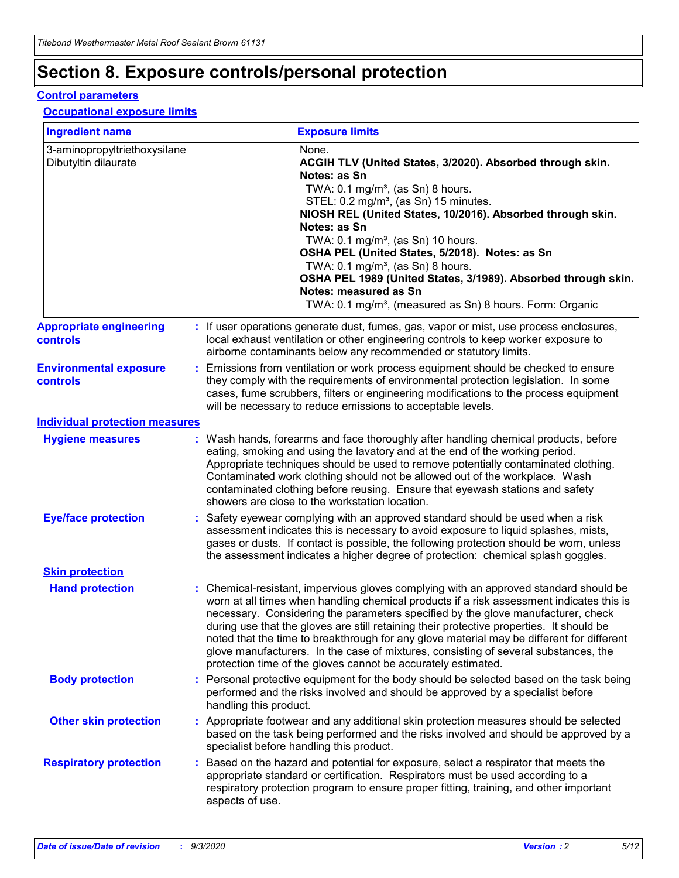# **Section 8. Exposure controls/personal protection**

#### **Control parameters**

#### **Occupational exposure limits**

| <b>Ingredient name</b>                               |    |                        | <b>Exposure limits</b>                                                                                                                                                                                                                                                                                                                                                                                                                                                                                                                                                                                                 |
|------------------------------------------------------|----|------------------------|------------------------------------------------------------------------------------------------------------------------------------------------------------------------------------------------------------------------------------------------------------------------------------------------------------------------------------------------------------------------------------------------------------------------------------------------------------------------------------------------------------------------------------------------------------------------------------------------------------------------|
| 3-aminopropyltriethoxysilane<br>Dibutyltin dilaurate |    |                        | None.<br>ACGIH TLV (United States, 3/2020). Absorbed through skin.<br>Notes: as Sn<br>TWA: $0.1 \text{ mg/m}^3$ , (as Sn) 8 hours.<br>STEL: 0.2 mg/m <sup>3</sup> , (as Sn) 15 minutes.<br>NIOSH REL (United States, 10/2016). Absorbed through skin.<br>Notes: as Sn<br>TWA: 0.1 mg/m <sup>3</sup> , (as Sn) 10 hours.<br>OSHA PEL (United States, 5/2018). Notes: as Sn<br>TWA: $0.1 \text{ mg/m}^3$ , (as Sn) 8 hours.<br>OSHA PEL 1989 (United States, 3/1989). Absorbed through skin.<br>Notes: measured as Sn<br>TWA: 0.1 mg/m <sup>3</sup> , (measured as Sn) 8 hours. Form: Organic                            |
| <b>Appropriate engineering</b><br>controls           |    |                        | : If user operations generate dust, fumes, gas, vapor or mist, use process enclosures,<br>local exhaust ventilation or other engineering controls to keep worker exposure to<br>airborne contaminants below any recommended or statutory limits.                                                                                                                                                                                                                                                                                                                                                                       |
| <b>Environmental exposure</b><br><b>controls</b>     |    |                        | Emissions from ventilation or work process equipment should be checked to ensure<br>they comply with the requirements of environmental protection legislation. In some<br>cases, fume scrubbers, filters or engineering modifications to the process equipment<br>will be necessary to reduce emissions to acceptable levels.                                                                                                                                                                                                                                                                                          |
| <b>Individual protection measures</b>                |    |                        |                                                                                                                                                                                                                                                                                                                                                                                                                                                                                                                                                                                                                        |
| <b>Hygiene measures</b>                              |    |                        | : Wash hands, forearms and face thoroughly after handling chemical products, before<br>eating, smoking and using the lavatory and at the end of the working period.<br>Appropriate techniques should be used to remove potentially contaminated clothing.<br>Contaminated work clothing should not be allowed out of the workplace. Wash<br>contaminated clothing before reusing. Ensure that eyewash stations and safety<br>showers are close to the workstation location.                                                                                                                                            |
| <b>Eye/face protection</b>                           |    |                        | Safety eyewear complying with an approved standard should be used when a risk<br>assessment indicates this is necessary to avoid exposure to liquid splashes, mists,<br>gases or dusts. If contact is possible, the following protection should be worn, unless<br>the assessment indicates a higher degree of protection: chemical splash goggles.                                                                                                                                                                                                                                                                    |
| <b>Skin protection</b>                               |    |                        |                                                                                                                                                                                                                                                                                                                                                                                                                                                                                                                                                                                                                        |
| <b>Hand protection</b>                               |    |                        | : Chemical-resistant, impervious gloves complying with an approved standard should be<br>worn at all times when handling chemical products if a risk assessment indicates this is<br>necessary. Considering the parameters specified by the glove manufacturer, check<br>during use that the gloves are still retaining their protective properties. It should be<br>noted that the time to breakthrough for any glove material may be different for different<br>glove manufacturers. In the case of mixtures, consisting of several substances, the<br>protection time of the gloves cannot be accurately estimated. |
| <b>Body protection</b>                               |    | handling this product. | Personal protective equipment for the body should be selected based on the task being<br>performed and the risks involved and should be approved by a specialist before                                                                                                                                                                                                                                                                                                                                                                                                                                                |
| <b>Other skin protection</b>                         |    |                        | Appropriate footwear and any additional skin protection measures should be selected<br>based on the task being performed and the risks involved and should be approved by a<br>specialist before handling this product.                                                                                                                                                                                                                                                                                                                                                                                                |
| <b>Respiratory protection</b>                        | ÷. | aspects of use.        | Based on the hazard and potential for exposure, select a respirator that meets the<br>appropriate standard or certification. Respirators must be used according to a<br>respiratory protection program to ensure proper fitting, training, and other important                                                                                                                                                                                                                                                                                                                                                         |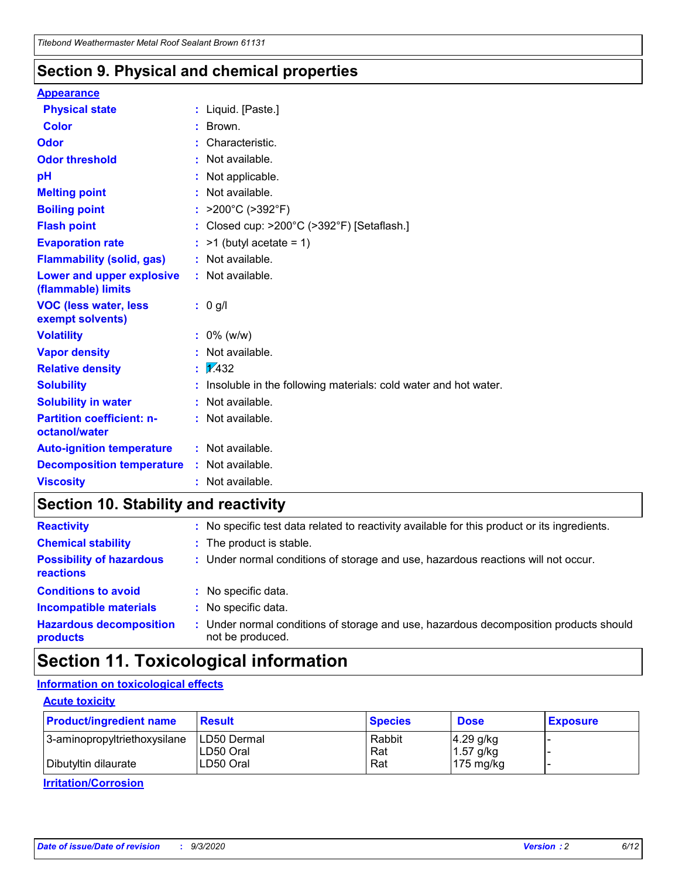### **Section 9. Physical and chemical properties**

#### **Appearance**

| <b>Physical state</b>                             |   | : Liquid. [Paste.]                                              |
|---------------------------------------------------|---|-----------------------------------------------------------------|
| <b>Color</b>                                      |   | Brown.                                                          |
| Odor                                              |   | Characteristic.                                                 |
| <b>Odor threshold</b>                             | ÷ | Not available.                                                  |
| рH                                                |   | Not applicable.                                                 |
| <b>Melting point</b>                              |   | : Not available.                                                |
| <b>Boiling point</b>                              |   | >200°C (>392°F)                                                 |
| <b>Flash point</b>                                |   | Closed cup: >200°C (>392°F) [Setaflash.]                        |
| <b>Evaporation rate</b>                           |   | $:$ >1 (butyl acetate = 1)                                      |
| <b>Flammability (solid, gas)</b>                  |   | : Not available.                                                |
| Lower and upper explosive<br>(flammable) limits   |   | : Not available.                                                |
| <b>VOC (less water, less)</b><br>exempt solvents) |   | : 0 g/l                                                         |
| <b>Volatility</b>                                 |   | $: 0\%$ (w/w)                                                   |
| <b>Vapor density</b>                              |   | Not available.                                                  |
| <b>Relative density</b>                           |   | $\mathbf{1}$ $\mathbf{\sqrt{432}}$                              |
| <b>Solubility</b>                                 |   | Insoluble in the following materials: cold water and hot water. |
| <b>Solubility in water</b>                        |   | Not available.                                                  |
| <b>Partition coefficient: n-</b><br>octanol/water |   | $:$ Not available.                                              |
| <b>Auto-ignition temperature</b>                  |   | : Not available.                                                |
| <b>Decomposition temperature</b>                  |   | : Not available.                                                |
| <b>Viscosity</b>                                  |   | $:$ Not available.                                              |

### **Section 10. Stability and reactivity**

| <b>Reactivity</b>                            | : No specific test data related to reactivity available for this product or its ingredients.            |
|----------------------------------------------|---------------------------------------------------------------------------------------------------------|
| <b>Chemical stability</b>                    | : The product is stable.                                                                                |
| <b>Possibility of hazardous</b><br>reactions | : Under normal conditions of storage and use, hazardous reactions will not occur.                       |
| <b>Conditions to avoid</b>                   | : No specific data.                                                                                     |
| <b>Incompatible materials</b>                | : No specific data.                                                                                     |
| <b>Hazardous decomposition</b><br>products   | Under normal conditions of storage and use, hazardous decomposition products should<br>not be produced. |

### **Section 11. Toxicological information**

#### **Information on toxicological effects**

#### **Acute toxicity**

| <b>Product/ingredient name</b> | <b>Result</b>           | <b>Species</b> | <b>Dose</b>                | <b>Exposure</b> |
|--------------------------------|-------------------------|----------------|----------------------------|-----------------|
| 3-aminopropyltriethoxysilane   | <b>ILD50 Dermal</b>     | Rabbit         | 4.29 g/kg                  |                 |
| Dibutyltin dilaurate           | ILD50 Oral<br>LD50 Oral | Rat<br>Rat     | $1.57$ g/kg<br>175 $mg/kg$ |                 |
|                                |                         |                |                            |                 |

**Irritation/Corrosion**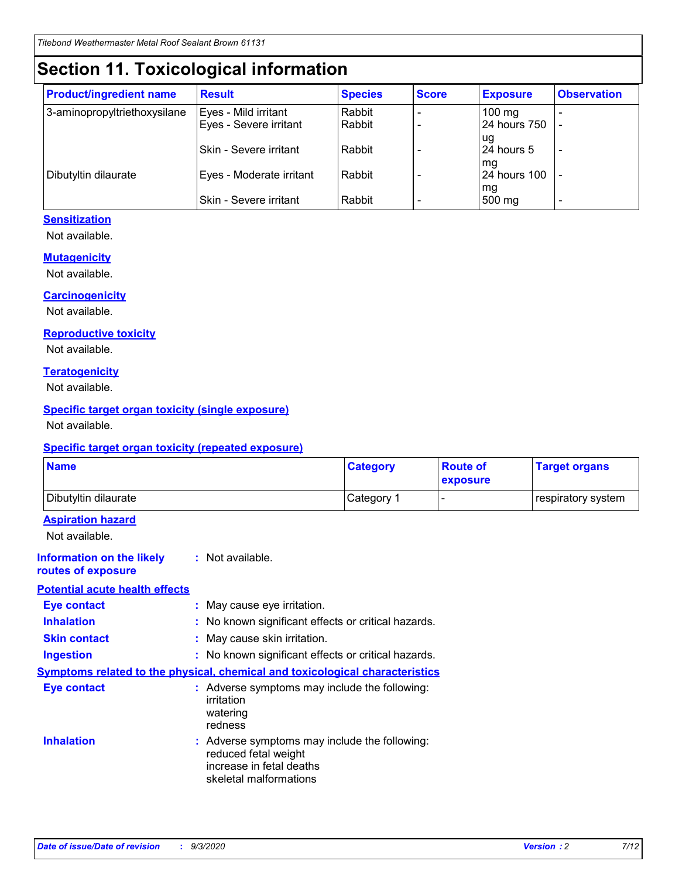# **Section 11. Toxicological information**

| <b>Product/ingredient name</b> | <b>Result</b>            | <b>Species</b> | <b>Score</b> | <b>Exposure</b> | <b>Observation</b> |
|--------------------------------|--------------------------|----------------|--------------|-----------------|--------------------|
| 3-aminopropyltriethoxysilane   | Eyes - Mild irritant     | Rabbit         |              | $100$ mg        |                    |
|                                | Eyes - Severe irritant   | Rabbit         |              | 24 hours 750    |                    |
|                                |                          |                |              | ug              |                    |
|                                | Skin - Severe irritant   | Rabbit         |              | 24 hours 5      | -                  |
|                                |                          |                |              | mq              |                    |
| Dibutyltin dilaurate           | Eyes - Moderate irritant | Rabbit         |              | 24 hours 100    |                    |
|                                | Skin - Severe irritant   | Rabbit         |              | mg<br>500 mg    |                    |
|                                |                          |                |              |                 |                    |

#### **Sensitization**

Not available.

#### **Mutagenicity**

Not available.

#### **Carcinogenicity**

Not available.

#### **Reproductive toxicity**

Not available.

#### **Teratogenicity**

Not available.

#### **Specific target organ toxicity (single exposure)**

Not available.

#### **Specific target organ toxicity (repeated exposure)**

| <b>Name</b>                                                                         |                                                                            | <b>Category</b>                                     | <b>Route of</b><br>exposure | <b>Target organs</b> |  |  |
|-------------------------------------------------------------------------------------|----------------------------------------------------------------------------|-----------------------------------------------------|-----------------------------|----------------------|--|--|
| Dibutyltin dilaurate                                                                |                                                                            | Category 1                                          | -                           | respiratory system   |  |  |
| <b>Aspiration hazard</b><br>Not available.                                          |                                                                            |                                                     |                             |                      |  |  |
| <b>Information on the likely</b><br>routes of exposure                              | : Not available.                                                           |                                                     |                             |                      |  |  |
| <b>Potential acute health effects</b>                                               |                                                                            |                                                     |                             |                      |  |  |
| <b>Eye contact</b>                                                                  | : May cause eye irritation.                                                |                                                     |                             |                      |  |  |
| <b>Inhalation</b>                                                                   |                                                                            | : No known significant effects or critical hazards. |                             |                      |  |  |
| <b>Skin contact</b>                                                                 |                                                                            | : May cause skin irritation.                        |                             |                      |  |  |
| <b>Ingestion</b>                                                                    |                                                                            | : No known significant effects or critical hazards. |                             |                      |  |  |
| <b>Symptoms related to the physical, chemical and toxicological characteristics</b> |                                                                            |                                                     |                             |                      |  |  |
| <b>Eye contact</b>                                                                  | irritation<br>watering<br>redness                                          | : Adverse symptoms may include the following:       |                             |                      |  |  |
| <b>Inhalation</b>                                                                   | reduced fetal weight<br>increase in fetal deaths<br>skeletal malformations | : Adverse symptoms may include the following:       |                             |                      |  |  |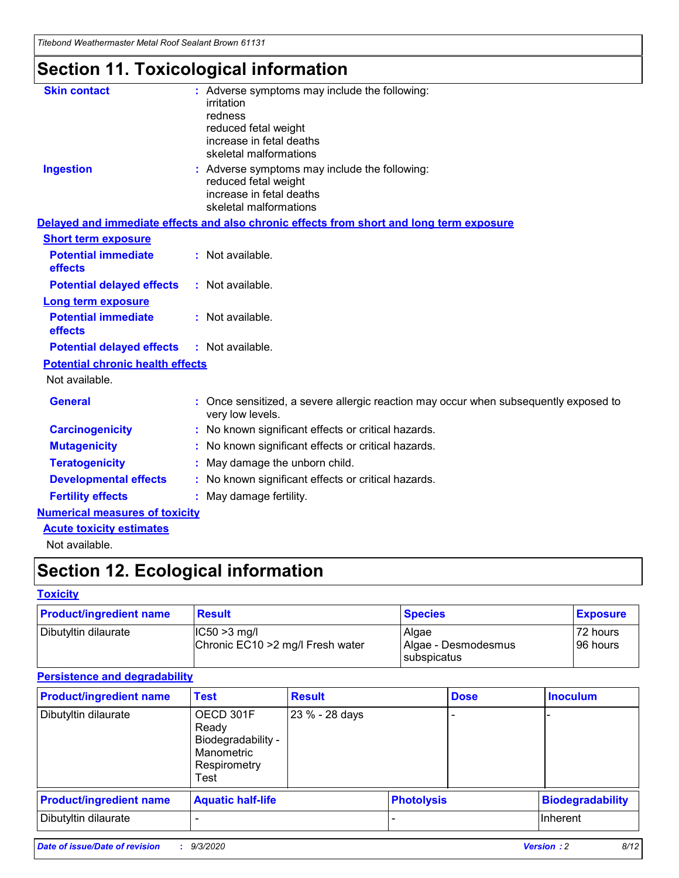*Titebond Weathermaster Metal Roof Sealant Brown 61131*

# **Section 11. Toxicological information**

| <b>Skin contact</b>                     | : Adverse symptoms may include the following:<br>irritation                                                                 |  |
|-----------------------------------------|-----------------------------------------------------------------------------------------------------------------------------|--|
|                                         | redness                                                                                                                     |  |
|                                         | reduced fetal weight<br>increase in fetal deaths                                                                            |  |
|                                         | skeletal malformations                                                                                                      |  |
| <b>Ingestion</b>                        | : Adverse symptoms may include the following:<br>reduced fetal weight<br>increase in fetal deaths<br>skeletal malformations |  |
|                                         | Delayed and immediate effects and also chronic effects from short and long term exposure                                    |  |
| <b>Short term exposure</b>              |                                                                                                                             |  |
| <b>Potential immediate</b><br>effects   | : Not available.                                                                                                            |  |
| <b>Potential delayed effects</b>        | : Not available.                                                                                                            |  |
| <b>Long term exposure</b>               |                                                                                                                             |  |
| <b>Potential immediate</b><br>effects   | : Not available.                                                                                                            |  |
| <b>Potential delayed effects</b>        | : Not available.                                                                                                            |  |
| <b>Potential chronic health effects</b> |                                                                                                                             |  |
| Not available.                          |                                                                                                                             |  |
| <b>General</b>                          | : Once sensitized, a severe allergic reaction may occur when subsequently exposed to<br>very low levels.                    |  |
| <b>Carcinogenicity</b>                  | : No known significant effects or critical hazards.                                                                         |  |
| <b>Mutagenicity</b>                     | : No known significant effects or critical hazards.                                                                         |  |
| <b>Teratogenicity</b>                   | May damage the unborn child.                                                                                                |  |
| <b>Developmental effects</b>            | : No known significant effects or critical hazards.                                                                         |  |
| <b>Fertility effects</b>                | : May damage fertility.                                                                                                     |  |
| <b>Numerical measures of toxicity</b>   |                                                                                                                             |  |
| <b>Acute toxicity estimates</b>         |                                                                                                                             |  |
| والمادانون والملا                       |                                                                                                                             |  |

Not available.

# **Section 12. Ecological information**

#### **Toxicity**

| <b>Product/ingredient name</b> | <b>Result</b>                                       | <b>Species</b>               | <b>Exposure</b>       |
|--------------------------------|-----------------------------------------------------|------------------------------|-----------------------|
| Dibutyltin dilaurate           | $ CC50>3$ mg/l<br>Chronic EC10 > 2 mg/l Fresh water | Algae<br>Algae - Desmodesmus | 72 hours<br>196 hours |
|                                |                                                     | <b>I</b> subspicatus         |                       |

#### **Persistence and degradability**

| <b>Product/ingredient name</b> | <b>Test</b>                                                                    | <b>Result</b>  |                   | <b>Dose</b> | <b>Inoculum</b>         |
|--------------------------------|--------------------------------------------------------------------------------|----------------|-------------------|-------------|-------------------------|
| Dibutyltin dilaurate           | OECD 301F<br>Ready<br>Biodegradability -<br>Manometric<br>Respirometry<br>Test | 23 % - 28 days |                   |             |                         |
| <b>Product/ingredient name</b> | <b>Aquatic half-life</b>                                                       |                | <b>Photolysis</b> |             | <b>Biodegradability</b> |
| Dibutyltin dilaurate           |                                                                                |                |                   |             | <b>Inherent</b>         |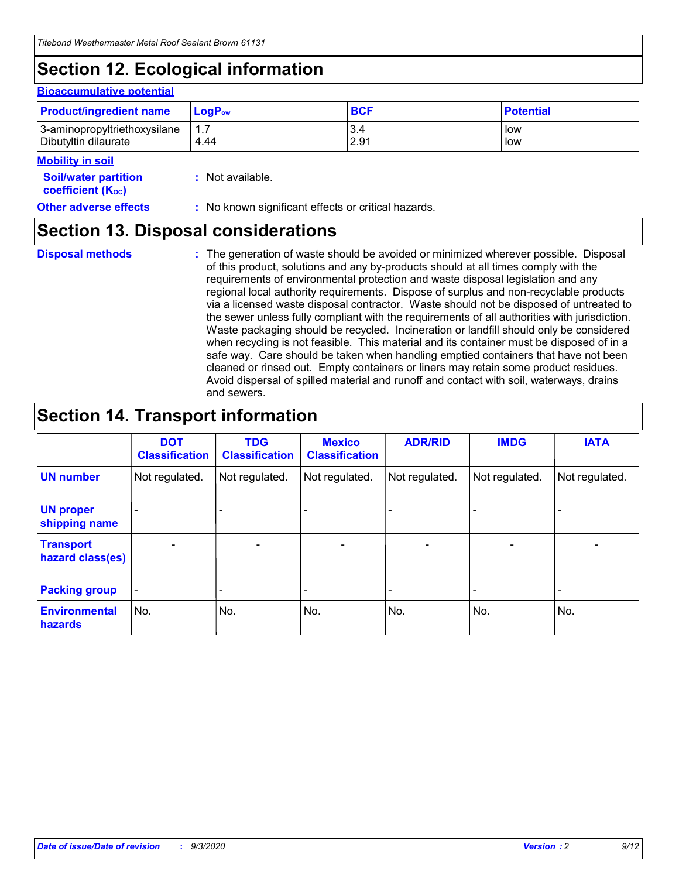# **Section 12. Ecological information**

#### **Bioaccumulative potential**

| <b>Product/ingredient name</b> | $LoaPow$ | <b>BCF</b> | <b>Potential</b> |
|--------------------------------|----------|------------|------------------|
| 3-aminopropyltriethoxysilane   | 1.7      | 3.4        | low              |
| Dibutyltin dilaurate           | 4.44     | 2.91       | low              |

#### **Mobility in soil**

| <b>Soil/water partition</b> | : Not available. |
|-----------------------------|------------------|
| <b>coefficient (Koc)</b>    |                  |

**Other adverse effects** : No known significant effects or critical hazards.

### **Section 13. Disposal considerations**

**Disposal methods :**

The generation of waste should be avoided or minimized wherever possible. Disposal of this product, solutions and any by-products should at all times comply with the requirements of environmental protection and waste disposal legislation and any regional local authority requirements. Dispose of surplus and non-recyclable products via a licensed waste disposal contractor. Waste should not be disposed of untreated to the sewer unless fully compliant with the requirements of all authorities with jurisdiction. Waste packaging should be recycled. Incineration or landfill should only be considered when recycling is not feasible. This material and its container must be disposed of in a safe way. Care should be taken when handling emptied containers that have not been cleaned or rinsed out. Empty containers or liners may retain some product residues. Avoid dispersal of spilled material and runoff and contact with soil, waterways, drains and sewers.

### **Section 14. Transport information**

|                                      | <b>DOT</b><br><b>Classification</b> | <b>TDG</b><br><b>Classification</b> | <b>Mexico</b><br><b>Classification</b> | <b>ADR/RID</b> | <b>IMDG</b>              | <b>IATA</b>    |
|--------------------------------------|-------------------------------------|-------------------------------------|----------------------------------------|----------------|--------------------------|----------------|
| <b>UN number</b>                     | Not regulated.                      | Not regulated.                      | Not regulated.                         | Not regulated. | Not regulated.           | Not regulated. |
| <b>UN proper</b><br>shipping name    |                                     |                                     |                                        |                |                          |                |
| <b>Transport</b><br>hazard class(es) |                                     | $\overline{\phantom{0}}$            | $\overline{\phantom{0}}$               |                | $\overline{\phantom{0}}$ |                |
| <b>Packing group</b>                 |                                     |                                     |                                        |                |                          |                |
| <b>Environmental</b><br>hazards      | No.                                 | No.                                 | No.                                    | No.            | No.                      | No.            |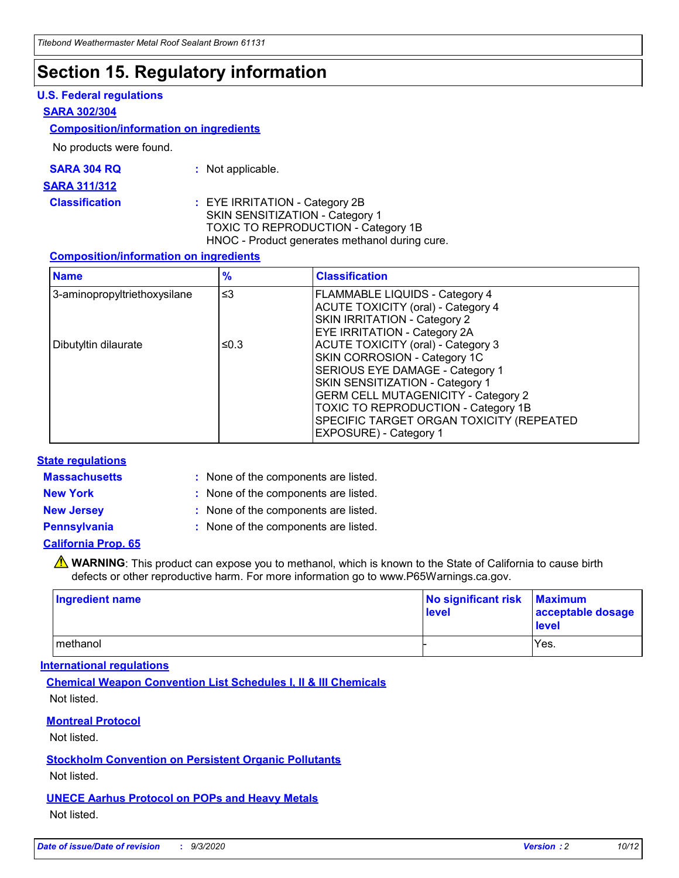### **Section 15. Regulatory information**

#### **U.S. Federal regulations**

#### **SARA 302/304**

#### **Composition/information on ingredients**

No products were found.

| SARA 304 RQ | Not applicable. |
|-------------|-----------------|
|-------------|-----------------|

#### **SARA 311/312**

**Classification :** EYE IRRITATION - Category 2B SKIN SENSITIZATION - Category 1 TOXIC TO REPRODUCTION - Category 1B HNOC - Product generates methanol during cure.

#### **Composition/information on ingredients**

| <b>Name</b>                  | $\frac{9}{6}$ | <b>Classification</b>                                                                                                                                                                                                                                                                                      |
|------------------------------|---------------|------------------------------------------------------------------------------------------------------------------------------------------------------------------------------------------------------------------------------------------------------------------------------------------------------------|
| 3-aminopropyltriethoxysilane | $\leq$ 3      | <b>FLAMMABLE LIQUIDS - Category 4</b><br><b>ACUTE TOXICITY (oral) - Category 4</b><br><b>SKIN IRRITATION - Category 2</b><br>EYE IRRITATION - Category 2A                                                                                                                                                  |
| Dibutyltin dilaurate         | ≤0.3          | <b>ACUTE TOXICITY (oral) - Category 3</b><br>SKIN CORROSION - Category 1C<br>SERIOUS EYE DAMAGE - Category 1<br>SKIN SENSITIZATION - Category 1<br><b>GERM CELL MUTAGENICITY - Category 2</b><br>TOXIC TO REPRODUCTION - Category 1B<br>SPECIFIC TARGET ORGAN TOXICITY (REPEATED<br>EXPOSURE) - Category 1 |

#### **State regulations**

**Massachusetts :**

: None of the components are listed.

**New York :** None of the components are listed. **New Jersey :** None of the components are listed.

**Pennsylvania :** None of the components are listed.

#### **California Prop. 65**

WARNING: This product can expose you to methanol, which is known to the State of California to cause birth defects or other reproductive harm. For more information go to www.P65Warnings.ca.gov.

| Ingredient name | No significant risk Maximum<br>level | acceptable dosage<br><b>level</b> |
|-----------------|--------------------------------------|-----------------------------------|
| I methanol      |                                      | Yes.                              |

#### **International regulations**

**Chemical Weapon Convention List Schedules I, II & III Chemicals** Not listed.

#### **Montreal Protocol**

Not listed.

**Stockholm Convention on Persistent Organic Pollutants**

Not listed.

#### **UNECE Aarhus Protocol on POPs and Heavy Metals** Not listed.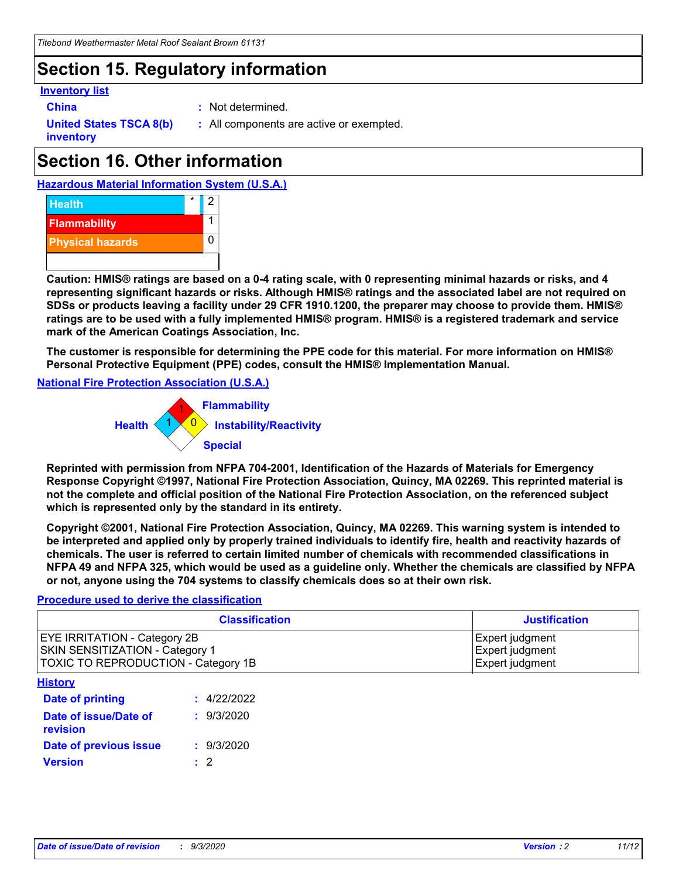# **Section 15. Regulatory information**

#### **Inventory list**

- 
- **China :** Not determined.

**United States TSCA 8(b) inventory**

**:** All components are active or exempted.

# **Section 16. Other information**





**Caution: HMIS® ratings are based on a 0-4 rating scale, with 0 representing minimal hazards or risks, and 4 representing significant hazards or risks. Although HMIS® ratings and the associated label are not required on SDSs or products leaving a facility under 29 CFR 1910.1200, the preparer may choose to provide them. HMIS® ratings are to be used with a fully implemented HMIS® program. HMIS® is a registered trademark and service mark of the American Coatings Association, Inc.**

**The customer is responsible for determining the PPE code for this material. For more information on HMIS® Personal Protective Equipment (PPE) codes, consult the HMIS® Implementation Manual.**

**National Fire Protection Association (U.S.A.)**



**Reprinted with permission from NFPA 704-2001, Identification of the Hazards of Materials for Emergency Response Copyright ©1997, National Fire Protection Association, Quincy, MA 02269. This reprinted material is not the complete and official position of the National Fire Protection Association, on the referenced subject which is represented only by the standard in its entirety.**

**Copyright ©2001, National Fire Protection Association, Quincy, MA 02269. This warning system is intended to be interpreted and applied only by properly trained individuals to identify fire, health and reactivity hazards of chemicals. The user is referred to certain limited number of chemicals with recommended classifications in NFPA 49 and NFPA 325, which would be used as a guideline only. Whether the chemicals are classified by NFPA or not, anyone using the 704 systems to classify chemicals does so at their own risk.**

#### **Procedure used to derive the classification**

| <b>Classification</b>                                                                                         | <b>Justification</b>                                  |
|---------------------------------------------------------------------------------------------------------------|-------------------------------------------------------|
| <b>EYE IRRITATION - Category 2B</b><br>SKIN SENSITIZATION - Category 1<br>TOXIC TO REPRODUCTION - Category 1B | Expert judgment<br>Expert judgment<br>Expert judgment |
| <b>History</b>                                                                                                |                                                       |

| .                                 |             |
|-----------------------------------|-------------|
| <b>Date of printing</b>           | : 4/22/2022 |
| Date of issue/Date of<br>revision | : 9/3/2020  |
| Date of previous issue            | : 9/3/2020  |
| <b>Version</b>                    | $\cdot$ 2   |
|                                   |             |